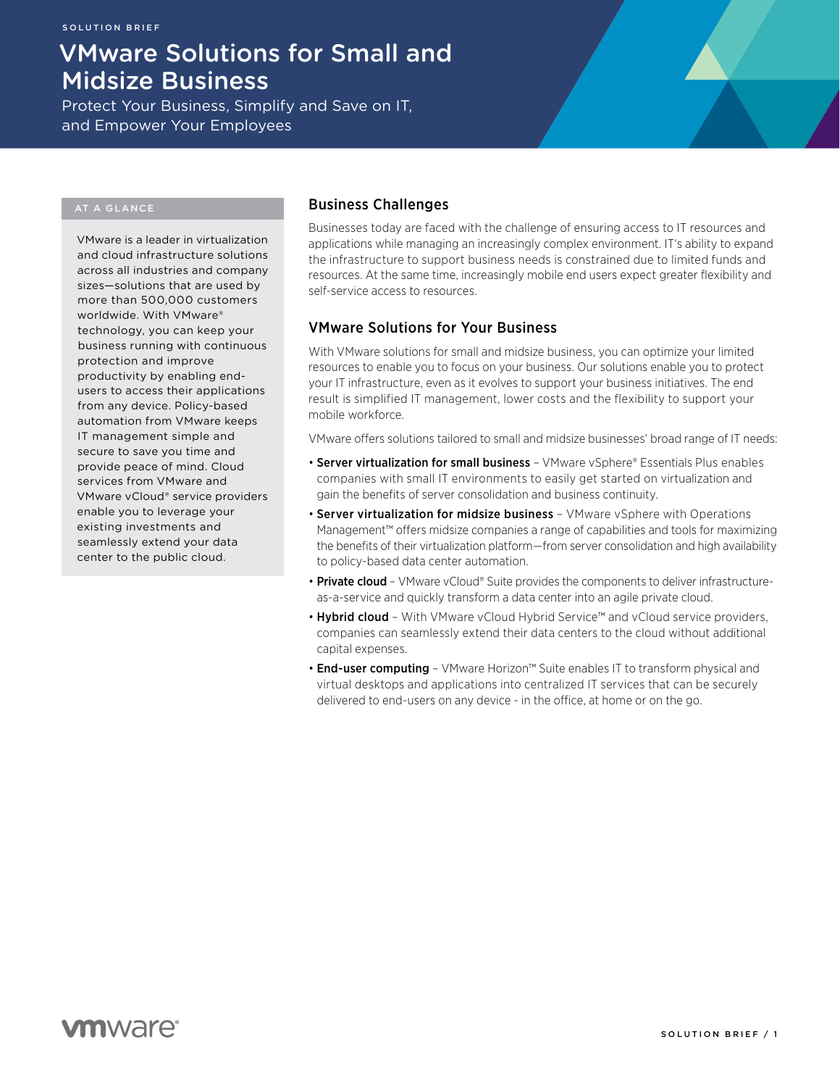# VMware Solutions for Small and Midsize Business

Protect Your Business, Simplify and Save on IT, and Empower Your Employees

## AT A GLANCE

VMware is a leader in virtualization and cloud infrastructure solutions across all industries and company sizes—solutions that are used by more than 500,000 customers worldwide. With VMware® technology, you can keep your business running with continuous protection and improve productivity by enabling endusers to access their applications from any device. Policy-based automation from VMware keeps IT management simple and secure to save you time and provide peace of mind. Cloud services from VMware and VMware vCloud® service providers enable you to leverage your existing investments and seamlessly extend your data center to the public cloud.

# Business Challenges

Businesses today are faced with the challenge of ensuring access to IT resources and applications while managing an increasingly complex environment. IT's ability to expand the infrastructure to support business needs is constrained due to limited funds and resources. At the same time, increasingly mobile end users expect greater flexibility and self-service access to resources.

# VMware Solutions for Your Business

With VMware solutions for small and midsize business, you can optimize your limited resources to enable you to focus on your business. Our solutions enable you to protect your IT infrastructure, even as it evolves to support your business initiatives. The end result is simplified IT management, lower costs and the flexibility to support your mobile workforce.

VMware offers solutions tailored to small and midsize businesses' broad range of IT needs:

- Server virtualization for small business VMware vSphere® Essentials Plus enables companies with small IT environments to easily get started on virtualization and gain the benefits of server consolidation and business continuity.
- Server virtualization for midsize business VMware vSphere with Operations Management™ offers midsize companies a range of capabilities and tools for maximizing the benefits of their virtualization platform—from server consolidation and high availability to policy-based data center automation.
- Private cloud VMware vCloud® Suite provides the components to deliver infrastructureas-a-service and quickly transform a data center into an agile private cloud.
- Hybrid cloud With VMware vCloud Hybrid Service™ and vCloud service providers, companies can seamlessly extend their data centers to the cloud without additional capital expenses.
- **End-user computing** VMware Horizon<sup>™</sup> Suite enables IT to transform physical and virtual desktops and applications into centralized IT services that can be securely delivered to end-users on any device - in the office, at home or on the go.

**vm**ware<sup>®</sup>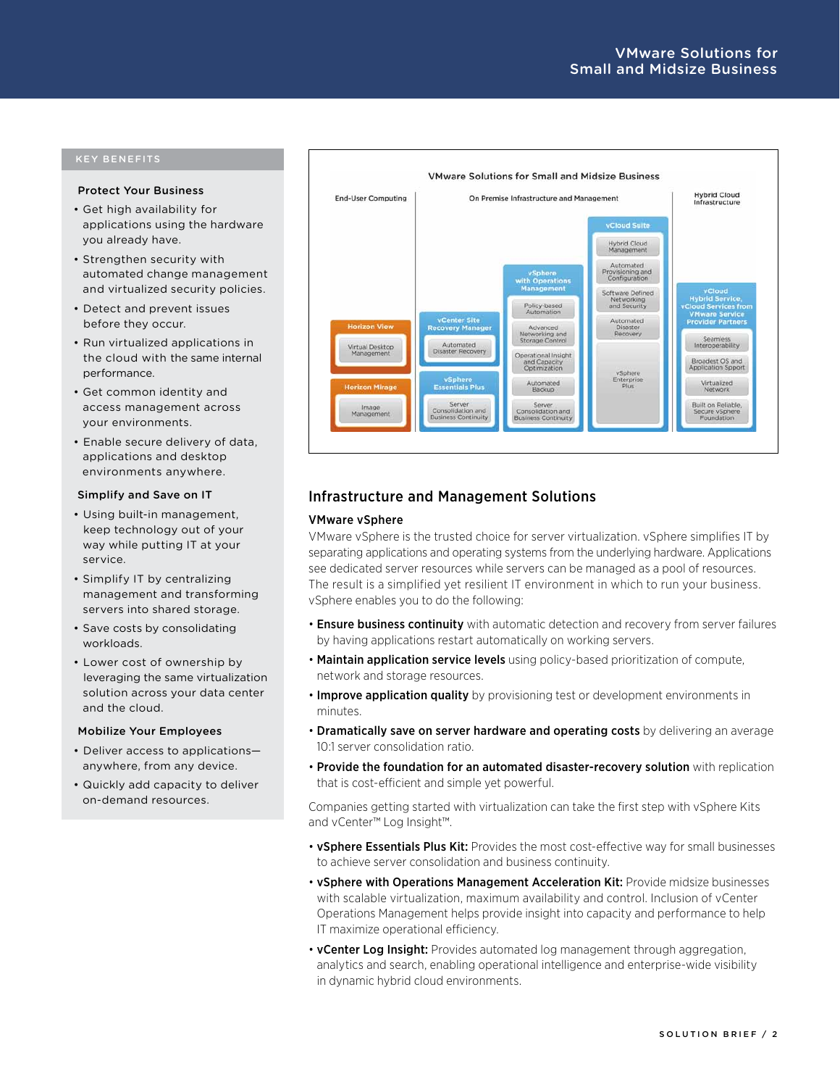## KEY BENEFITS

#### Protect Your Business

- • Get high availability for applications using the hardware you already have.
- • Strengthen security with automated change management and virtualized security policies.
- • Detect and prevent issues before they occur.
- • Run virtualized applications in the cloud with the same internal performance.
- • Get common identity and access management across your environments.
- • Enable secure delivery of data, applications and desktop environments anywhere.

#### Simplify and Save on IT

- • Using built-in management, keep technology out of your way while putting IT at your service.
- • Simplify IT by centralizing management and transforming servers into shared storage.
- Save costs by consolidating workloads.
- • Lower cost of ownership by leveraging the same virtualization solution across your data center and the cloud.

#### Mobilize Your Employees

- Deliver access to applicationsanywhere, from any device.
- • Quickly add capacity to deliver on-demand resources.



## Infrastructure and Management Solutions

#### VMware vSphere

VMware vSphere is the trusted choice for server virtualization. vSphere simplifies IT by separating applications and operating systems from the underlying hardware. Applications see dedicated server resources while servers can be managed as a pool of resources. The result is a simplified yet resilient IT environment in which to run your business. vSphere enables you to do the following:

- **Ensure business continuity** with automatic detection and recovery from server failures by having applications restart automatically on working servers.
- Maintain application service levels using policy-based prioritization of compute. network and storage resources.
- Improve application quality by provisioning test or development environments in minutes.
- Dramatically save on server hardware and operating costs by delivering an average 10:1 server consolidation ratio.
- Provide the foundation for an automated disaster-recovery solution with replication that is cost-efficient and simple yet powerful.

Companies getting started with virtualization can take the first step with vSphere Kits and vCenter™ Log Insight™.

- **vSphere Essentials Plus Kit:** Provides the most cost-effective way for small businesses to achieve server consolidation and business continuity.
- vSphere with Operations Management Acceleration Kit: Provide midsize businesses with scalable virtualization, maximum availability and control. Inclusion of vCenter Operations Management helps provide insight into capacity and performance to help IT maximize operational efficiency.
- **vCenter Log Insight:** Provides automated log management through aggregation, analytics and search, enabling operational intelligence and enterprise-wide visibility in dynamic hybrid cloud environments.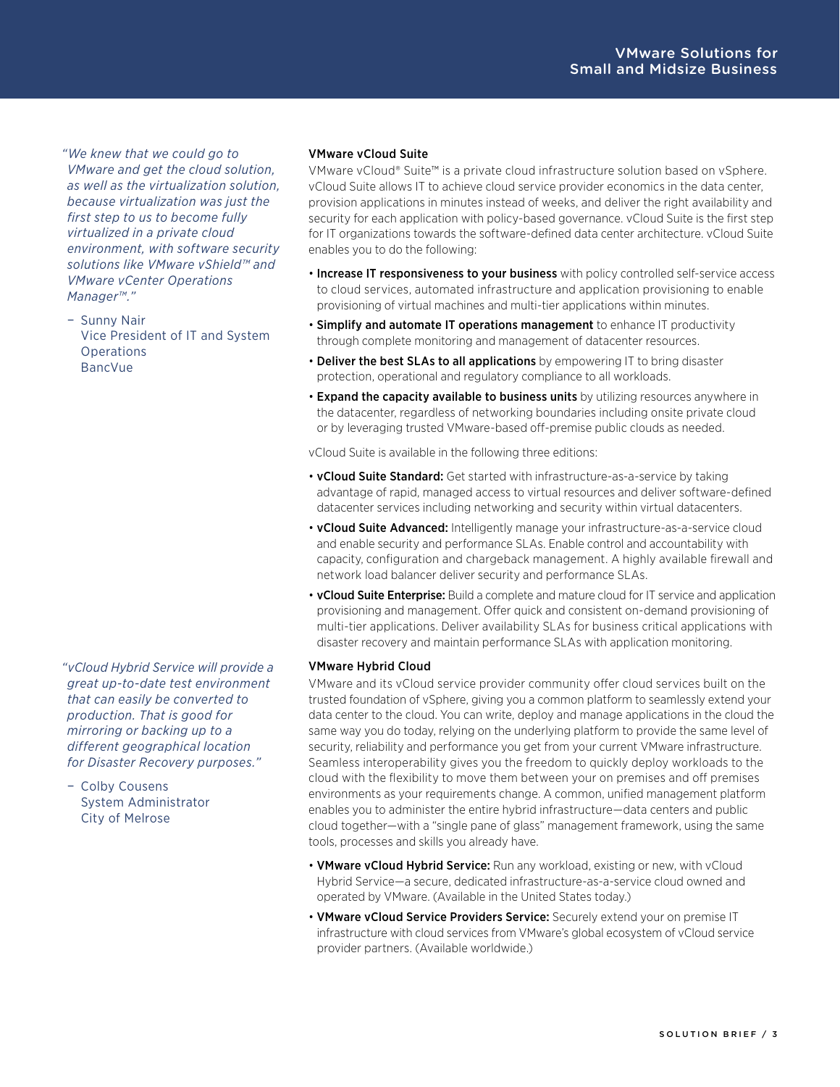*"We knew that we could go to VMware and get the cloud solution, as well as the virtualization solution, because virtualization was just the first step to us to become fully virtualized in a private cloud environment, with software security solutions like VMware vShield™ and VMware vCenter Operations Manager™."* 

− Sunny Nair Vice President of IT and System **Operations** BancVue

*"vCloud Hybrid Service will provide a great up-to-date test environment that can easily be converted to production. That is good for mirroring or backing up to a different geographical location for Disaster Recovery purposes."* 

− Colby Cousens System Administrator City of Melrose

## VMware vCloud Suite

VMware vCloud® Suite™ is a private cloud infrastructure solution based on vSphere. vCloud Suite allows IT to achieve cloud service provider economics in the data center, provision applications in minutes instead of weeks, and deliver the right availability and security for each application with policy-based governance. vCloud Suite is the first step for IT organizations towards the software-defined data center architecture. vCloud Suite enables you to do the following:

- Increase IT responsiveness to your business with policy controlled self-service access to cloud services, automated infrastructure and application provisioning to enable provisioning of virtual machines and multi-tier applications within minutes.
- Simplify and automate IT operations management to enhance IT productivity through complete monitoring and management of datacenter resources.
- Deliver the best SLAs to all applications by empowering IT to bring disaster protection, operational and regulatory compliance to all workloads.
- Expand the capacity available to business units by utilizing resources anywhere in the datacenter, regardless of networking boundaries including onsite private cloud or by leveraging trusted VMware-based off-premise public clouds as needed.

vCloud Suite is available in the following three editions:

- vCloud Suite Standard: Get started with infrastructure-as-a-service by taking advantage of rapid, managed access to virtual resources and deliver software-defined datacenter services including networking and security within virtual datacenters.
- vCloud Suite Advanced: Intelligently manage your infrastructure-as-a-service cloud and enable security and performance SLAs. Enable control and accountability with capacity, configuration and chargeback management. A highly available firewall and network load balancer deliver security and performance SLAs.
- vCloud Suite Enterprise: Build a complete and mature cloud for IT service and application provisioning and management. Offer quick and consistent on-demand provisioning of multi-tier applications. Deliver availability SLAs for business critical applications with disaster recovery and maintain performance SLAs with application monitoring.

## VMware Hybrid Cloud

VMware and its vCloud service provider community offer cloud services built on the trusted foundation of vSphere, giving you a common platform to seamlessly extend your data center to the cloud. You can write, deploy and manage applications in the cloud the same way you do today, relying on the underlying platform to provide the same level of security, reliability and performance you get from your current VMware infrastructure. Seamless interoperability gives you the freedom to quickly deploy workloads to the cloud with the flexibility to move them between your on premises and off premises environments as your requirements change. A common, unified management platform enables you to administer the entire hybrid infrastructure—data centers and public cloud together—with a "single pane of glass" management framework, using the same tools, processes and skills you already have.

- **VMware vCloud Hybrid Service:** Run any workload, existing or new, with vCloud Hybrid Service—a secure, dedicated infrastructure-as-a-service cloud owned and operated by VMware. (Available in the United States today.)
- VMware vCloud Service Providers Service: Securely extend your on premise IT infrastructure with cloud services from VMware's global ecosystem of vCloud service provider partners. (Available worldwide.)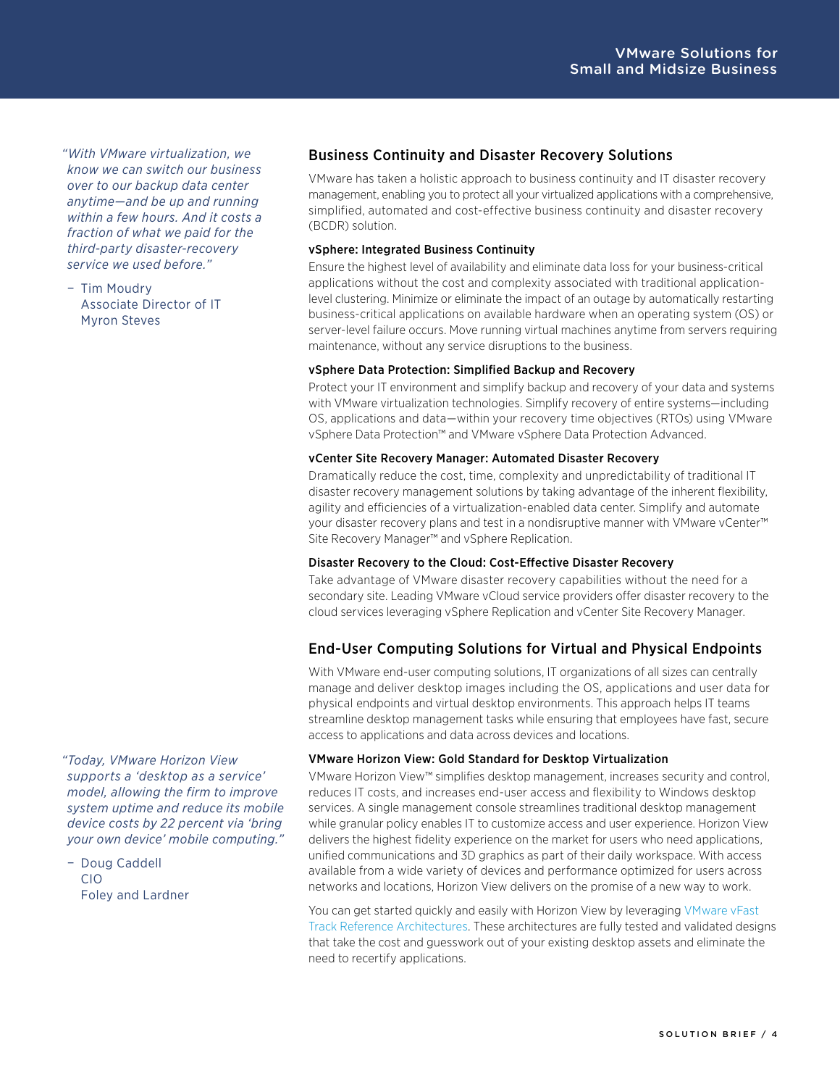*"With VMware virtualization, we know we can switch our business over to our backup data center anytime—and be up and running within a few hours. And it costs a fraction of what we paid for the third-party disaster-recovery service we used before."* 

− Tim Moudry Associate Director of IT Myron Steves

Business Continuity and Disaster Recovery Solutions

VMware has taken a holistic approach to business continuity and IT disaster recovery management, enabling you to protect all your virtualized applications with a comprehensive, simplified, automated and cost-effective business continuity and disaster recovery (BCDR) solution.

## vSphere: Integrated Business Continuity

Ensure the highest level of availability and eliminate data loss for your business-critical applications without the cost and complexity associated with traditional applicationlevel clustering. Minimize or eliminate the impact of an outage by automatically restarting business-critical applications on available hardware when an operating system (OS) or server-level failure occurs. Move running virtual machines anytime from servers requiring maintenance, without any service disruptions to the business.

## vSphere Data Protection: Simplified Backup and Recovery

Protect your IT environment and simplify backup and recovery of your data and systems with VMware virtualization technologies. Simplify recovery of entire systems—including OS, applications and data—within your recovery time objectives (RTOs) using VMware vSphere Data Protection™ and VMware vSphere Data Protection Advanced.

## vCenter Site Recovery Manager: Automated Disaster Recovery

Dramatically reduce the cost, time, complexity and unpredictability of traditional IT disaster recovery management solutions by taking advantage of the inherent flexibility, agility and efficiencies of a virtualization-enabled data center. Simplify and automate your disaster recovery plans and test in a nondisruptive manner with VMware vCenter™ Site Recovery Manager™ and vSphere Replication.

## Disaster Recovery to the Cloud: Cost-Effective Disaster Recovery

Take advantage of VMware disaster recovery capabilities without the need for a secondary site. Leading VMware vCloud service providers offer disaster recovery to the cloud services leveraging vSphere Replication and vCenter Site Recovery Manager.

# End-User Computing Solutions for Virtual and Physical Endpoints

With VMware end-user computing solutions, IT organizations of all sizes can centrally manage and deliver desktop images including the OS, applications and user data for physical endpoints and virtual desktop environments. This approach helps IT teams streamline desktop management tasks while ensuring that employees have fast, secure access to applications and data across devices and locations.

## VMware Horizon View: Gold Standard for Desktop Virtualization

VMware Horizon View™ simplifies desktop management, increases security and control, reduces IT costs, and increases end-user access and flexibility to Windows desktop services. A single management console streamlines traditional desktop management while granular policy enables IT to customize access and user experience. Horizon View delivers the highest fidelity experience on the market for users who need applications, unified communications and 3D graphics as part of their daily workspace. With access available from a wide variety of devices and performance optimized for users across networks and locations, Horizon View delivers on the promise of a new way to work.

You can get started quickly and easily with Horizon View by leveraging VMware vFast [Track Reference Architectures](http://www.vmware.com/solutions/vmware-horizon-view-vfast-reference-architectures.html). These architectures are fully tested and validated designs that take the cost and guesswork out of your existing desktop assets and eliminate the need to recertify applications.

*"Today, VMware Horizon View supports a 'desktop as a service' model, allowing the firm to improve system uptime and reduce its mobile device costs by 22 percent via 'bring your own device' mobile computing."* 

− Doug Caddell CIO Foley and Lardner